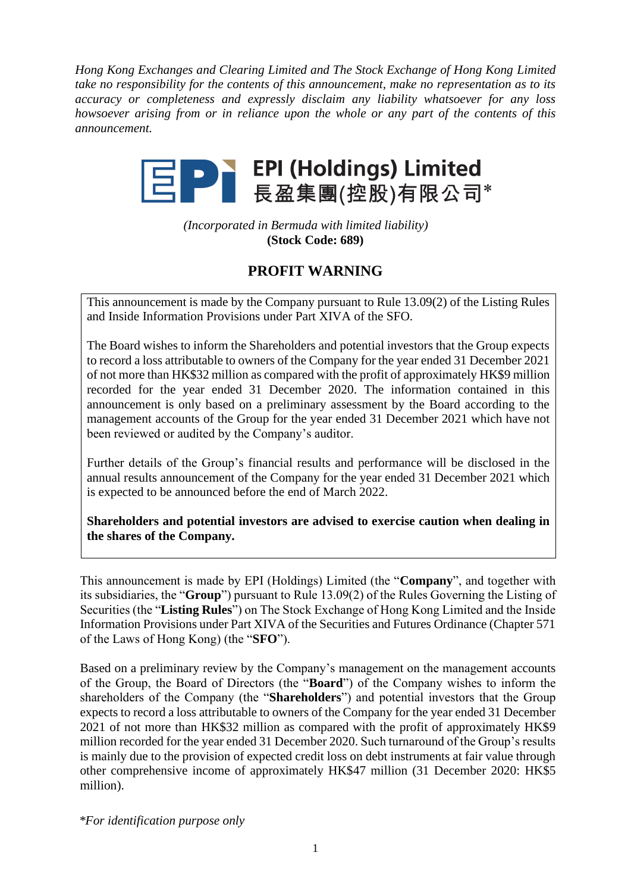*Hong Kong Exchanges and Clearing Limited and The Stock Exchange of Hong Kong Limited take no responsibility for the contents of this announcement, make no representation as to its accuracy or completeness and expressly disclaim any liability whatsoever for any loss howsoever arising from or in reliance upon the whole or any part of the contents of this announcement.*



*(Incorporated in Bermuda with limited liability)* **(Stock Code: 689)**

## **PROFIT WARNING**

This announcement is made by the Company pursuant to Rule 13.09(2) of the Listing Rules and Inside Information Provisions under Part XIVA of the SFO.

The Board wishes to inform the Shareholders and potential investors that the Group expects to record a loss attributable to owners of the Company for the year ended 31 December 2021 of not more than HK\$32 million as compared with the profit of approximately HK\$9 million recorded for the year ended 31 December 2020. The information contained in this announcement is only based on a preliminary assessment by the Board according to the management accounts of the Group for the year ended 31 December 2021 which have not been reviewed or audited by the Company's auditor.

Further details of the Group's financial results and performance will be disclosed in the annual results announcement of the Company for the year ended 31 December 2021 which is expected to be announced before the end of March 2022.

**Shareholders and potential investors are advised to exercise caution when dealing in the shares of the Company.**

This announcement is made by EPI (Holdings) Limited (the "**Company**", and together with its subsidiaries, the "**Group**") pursuant to Rule 13.09(2) of the Rules Governing the Listing of Securities (the "**Listing Rules**") on The Stock Exchange of Hong Kong Limited and the Inside Information Provisions under Part XIVA of the Securities and Futures Ordinance (Chapter 571 of the Laws of Hong Kong) (the "**SFO**").

Based on a preliminary review by the Company's management on the management accounts of the Group, the Board of Directors (the "**Board**") of the Company wishes to inform the shareholders of the Company (the "**Shareholders**") and potential investors that the Group expects to record a loss attributable to owners of the Company for the year ended 31 December 2021 of not more than HK\$32 million as compared with the profit of approximately HK\$9 million recorded for the year ended 31 December 2020. Such turnaround of the Group's results is mainly due to the provision of expected credit loss on debt instruments at fair value through other comprehensive income of approximately HK\$47 million (31 December 2020: HK\$5 million).

*\*For identification purpose only*